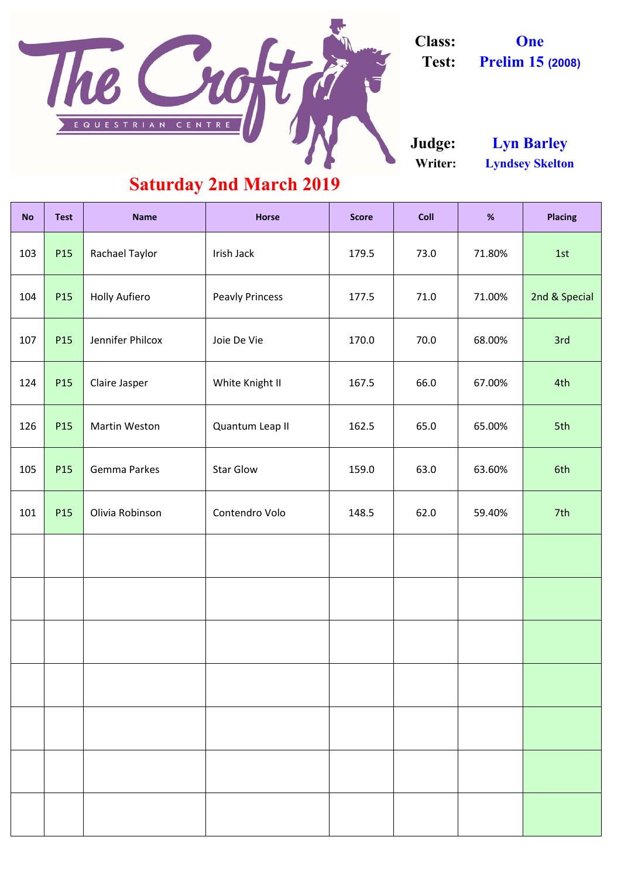| <b>No</b> | <b>Test</b> | <b>Name</b>          | <b>Horse</b>           | <b>Score</b> | Coll           | %      | <b>Placing</b> |  |
|-----------|-------------|----------------------|------------------------|--------------|----------------|--------|----------------|--|
| 103       | P15         | Rachael Taylor       | Irish Jack             | 179.5        | 73.0<br>71.80% |        | 1st            |  |
| 104       | P15         | <b>Holly Aufiero</b> | <b>Peavly Princess</b> | 177.5        | 71.0           | 71.00% | 2nd & Special  |  |
| 107       | P15         | Jennifer Philcox     | Joie De Vie            | 170.0        | 70.0           | 68.00% | 3rd            |  |
| 124       | P15         | Claire Jasper        | White Knight II        | 167.5        | 66.0<br>67.00% |        | 4th            |  |
| 126       | P15         | Martin Weston        | Quantum Leap II        | 162.5        | 65.00%<br>65.0 |        | 5th            |  |
| 105       | P15         | <b>Gemma Parkes</b>  | <b>Star Glow</b>       | 159.0        | 63.0<br>63.60% |        | 6th            |  |
| 101       | P15         | Olivia Robinson      | Contendro Volo         | 148.5        | 62.0<br>59.40% |        | 7th            |  |
|           |             |                      |                        |              |                |        |                |  |
|           |             |                      |                        |              |                |        |                |  |
|           |             |                      |                        |              |                |        |                |  |
|           |             |                      |                        |              |                |        |                |  |
|           |             |                      |                        |              |                |        |                |  |
|           |             |                      |                        |              |                |        |                |  |
|           |             |                      |                        |              |                |        |                |  |

**Writer: Lyndsey Skelton Judge: Lyn Barley**

## **Saturday 2nd March 2019**



**Class: One**

**Test: Prelim 15 (2008)**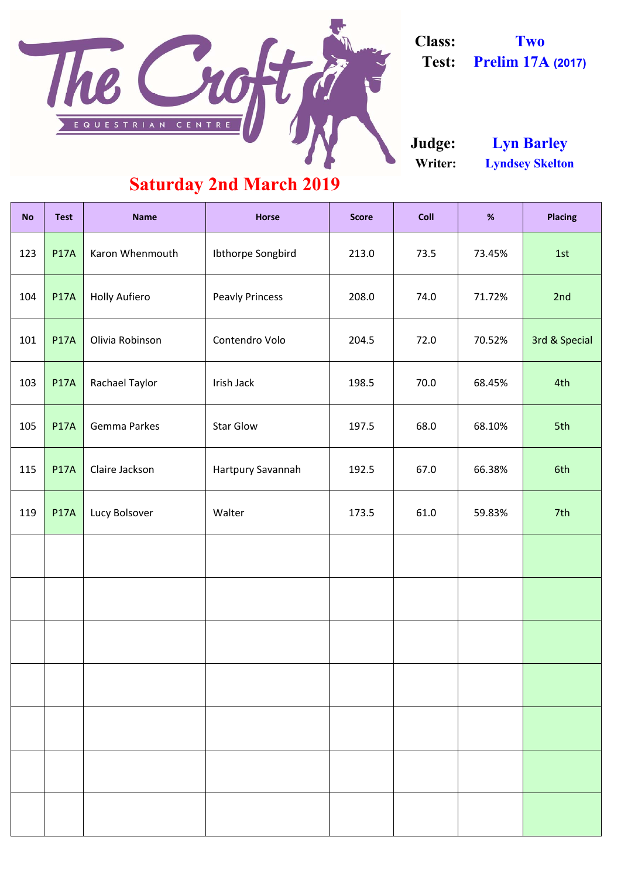| <b>No</b> | <b>Test</b> | <b>Name</b>          | <b>Horse</b>           | <b>Score</b> | Coll           | %      | <b>Placing</b> |
|-----------|-------------|----------------------|------------------------|--------------|----------------|--------|----------------|
| 123       | <b>P17A</b> | Karon Whenmouth      | Ibthorpe Songbird      | 213.0        | 73.5           | 73.45% | 1st            |
| 104       | <b>P17A</b> | <b>Holly Aufiero</b> | <b>Peavly Princess</b> | 208.0        | 74.0           | 71.72% | 2nd            |
| 101       | <b>P17A</b> | Olivia Robinson      | Contendro Volo         | 204.5        | 72.0           | 70.52% | 3rd & Special  |
| 103       | <b>P17A</b> | Rachael Taylor       | Irish Jack             | 198.5        | 70.0           | 68.45% | 4th            |
| 105       | <b>P17A</b> | Gemma Parkes         | <b>Star Glow</b>       | 197.5        | 68.0<br>68.10% |        | 5th            |
| 115       | <b>P17A</b> | Claire Jackson       | Hartpury Savannah      | 192.5        | 67.0           | 66.38% | 6th            |
| 119       | <b>P17A</b> | Lucy Bolsover        | Walter                 | 173.5        | 61.0           | 59.83% | 7th            |
|           |             |                      |                        |              |                |        |                |
|           |             |                      |                        |              |                |        |                |
|           |             |                      |                        |              |                |        |                |
|           |             |                      |                        |              |                |        |                |
|           |             |                      |                        |              |                |        |                |
|           |             |                      |                        |              |                |        |                |
|           |             |                      |                        |              |                |        |                |

**Writer: Lyndsey Skelton Judge: Lyn Barley**

## **Saturday 2nd March 2019**



**Class: Two Test: Prelim 17A (2017)**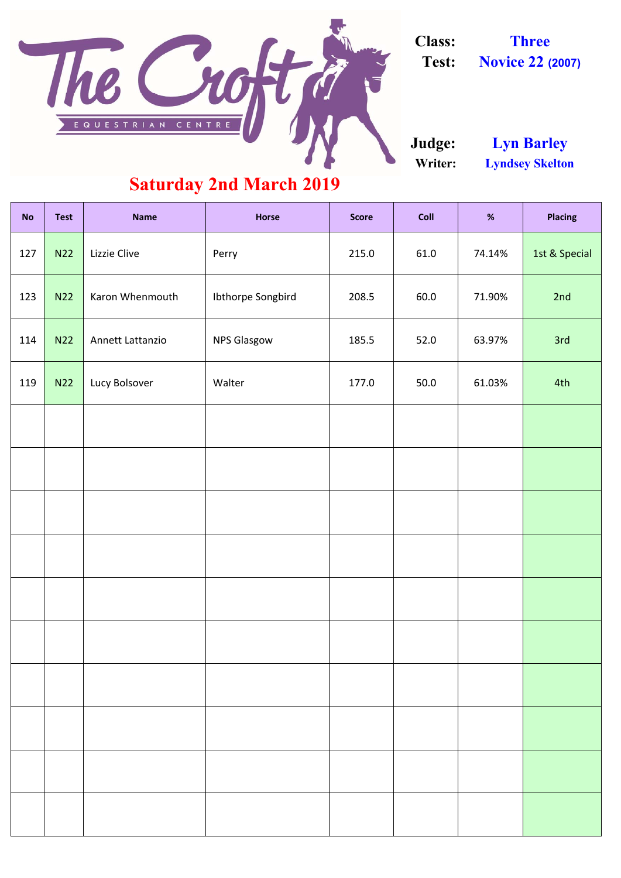| <b>No</b> | <b>Test</b> | <b>Name</b>      | <b>Horse</b>       | <b>Score</b> | Coll           | %      | <b>Placing</b> |
|-----------|-------------|------------------|--------------------|--------------|----------------|--------|----------------|
| 127       | <b>N22</b>  | Lizzie Clive     | Perry              | 215.0        | 61.0           | 74.14% | 1st & Special  |
| 123       | <b>N22</b>  | Karon Whenmouth  | Ibthorpe Songbird  | 208.5        | 60.0           | 71.90% | 2nd            |
| 114       | <b>N22</b>  | Annett Lattanzio | <b>NPS Glasgow</b> | 185.5        | 52.0<br>63.97% |        | 3rd            |
| 119       | N22         | Lucy Bolsover    | Walter             | 177.0        | 50.0<br>61.03% |        | 4th            |
|           |             |                  |                    |              |                |        |                |
|           |             |                  |                    |              |                |        |                |
|           |             |                  |                    |              |                |        |                |
|           |             |                  |                    |              |                |        |                |
|           |             |                  |                    |              |                |        |                |
|           |             |                  |                    |              |                |        |                |
|           |             |                  |                    |              |                |        |                |
|           |             |                  |                    |              |                |        |                |
|           |             |                  |                    |              |                |        |                |
|           |             |                  |                    |              |                |        |                |

**Writer: Lyndsey Skelton Judge: Lyn Barley**

### **Saturday 2nd March 2019**



**Class: Three**

**Test: Novice 22 (2007)**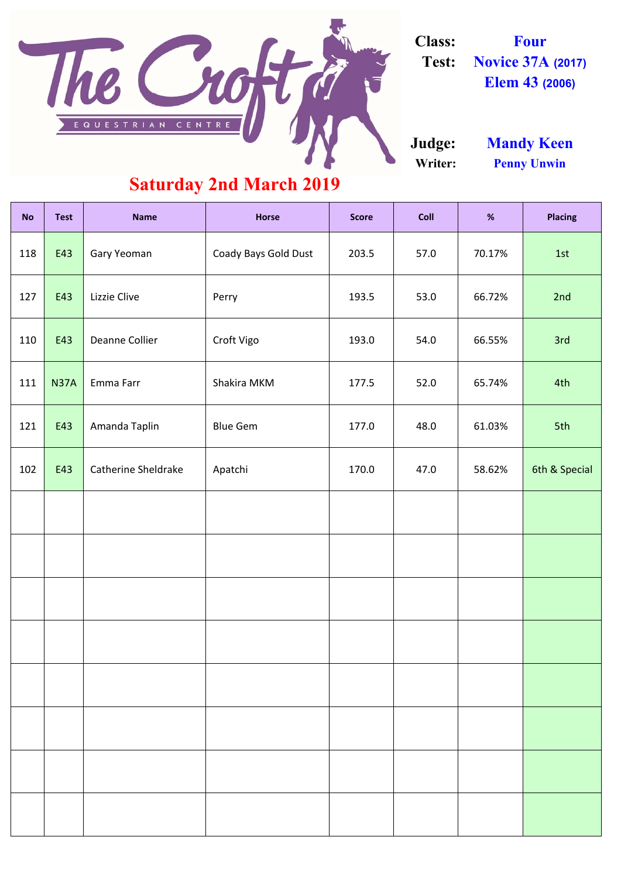| <b>No</b> | <b>Test</b> | <b>Name</b>                | <b>Horse</b>         | <b>Score</b> | Coll           | %      | <b>Placing</b> |  |
|-----------|-------------|----------------------------|----------------------|--------------|----------------|--------|----------------|--|
| 118       | E43         | Gary Yeoman                | Coady Bays Gold Dust | 203.5        | 70.17%<br>57.0 |        | 1st            |  |
| 127       | E43         | Lizzie Clive               | Perry                | 193.5        | 53.0           | 66.72% | 2nd            |  |
| 110       | E43         | <b>Deanne Collier</b>      | Croft Vigo           | 193.0        | 54.0           | 66.55% | 3rd            |  |
| 111       | <b>N37A</b> | Emma Farr                  | Shakira MKM          | 177.5        | 52.0<br>65.74% |        | 4th            |  |
| 121       | E43         | Amanda Taplin              | <b>Blue Gem</b>      | 177.0        | 48.0<br>61.03% |        | 5th            |  |
| 102       | E43         | <b>Catherine Sheldrake</b> | Apatchi              | 170.0        | 47.0<br>58.62% |        | 6th & Special  |  |
|           |             |                            |                      |              |                |        |                |  |
|           |             |                            |                      |              |                |        |                |  |
|           |             |                            |                      |              |                |        |                |  |
|           |             |                            |                      |              |                |        |                |  |
|           |             |                            |                      |              |                |        |                |  |
|           |             |                            |                      |              |                |        |                |  |
|           |             |                            |                      |              |                |        |                |  |
|           |             |                            |                      |              |                |        |                |  |

**Writer: Penny Unwin Judge: Mandy Keen**

#### **Saturday 2nd March 2019**



**Class: Four Test: Novice 37A (2017) Elem 43 (2006)**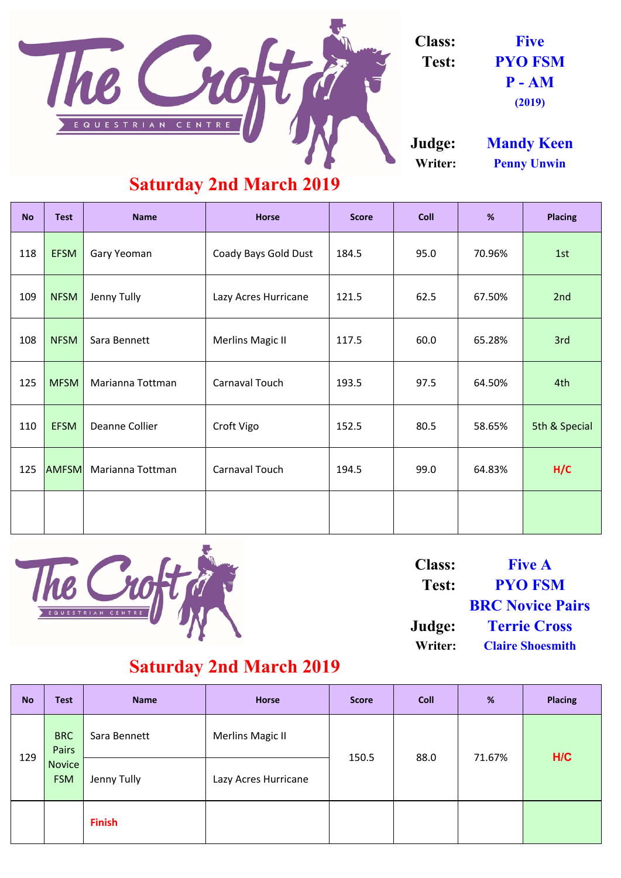| <b>No</b> | <b>Test</b>  | <b>Name</b>        | <b>Horse</b>            | <b>Score</b> | <b>Coll</b> | %      | <b>Placing</b> |
|-----------|--------------|--------------------|-------------------------|--------------|-------------|--------|----------------|
| 118       | <b>EFSM</b>  | <b>Gary Yeoman</b> | Coady Bays Gold Dust    | 184.5        | 95.0        | 70.96% | 1st            |
| 109       | <b>NFSM</b>  | <b>Jenny Tully</b> | Lazy Acres Hurricane    | 121.5        | 62.5        | 67.50% | 2nd            |
| 108       | <b>NFSM</b>  | Sara Bennett       | <b>Merlins Magic II</b> | 117.5        | 60.0        | 65.28% | 3rd            |
| 125       | <b>MFSM</b>  | Marianna Tottman   | <b>Carnaval Touch</b>   | 193.5        | 97.5        | 64.50% | 4th            |
| 110       | <b>EFSM</b>  | Deanne Collier     | Croft Vigo              | 152.5        | 80.5        | 58.65% | 5th & Special  |
| 125       | <b>AMFSM</b> | Marianna Tottman   | <b>Carnaval Touch</b>   | 194.5        | 99.0        | 64.83% | H/C            |
|           |              |                    |                         |              |             |        |                |



| <b>No</b> | <b>Test</b>                 | <b>Name</b>   | <b>Horse</b>            | <b>Score</b> | <b>Coll</b> | %      | <b>Placing</b> |
|-----------|-----------------------------|---------------|-------------------------|--------------|-------------|--------|----------------|
| 129       | <b>BRC</b><br><b>Pairs</b>  | Sara Bennett  | <b>Merlins Magic II</b> | 150.5        | 88.0        | 71.67% | H/C            |
|           | <b>Novice</b><br><b>FSM</b> | Jenny Tully   | Lazy Acres Hurricane    |              |             |        |                |
|           |                             | <b>Finish</b> |                         |              |             |        |                |

#### **Saturday 2nd March 2019**

| <b>Class:</b>  | <b>Five A</b>           |
|----------------|-------------------------|
| Test:          | <b>PYO FSM</b>          |
|                | <b>BRC Novice Pairs</b> |
| Judge:         | <b>Terrie Cross</b>     |
| <b>Writer:</b> | <b>Claire Shoesmith</b> |

**(2019)**



**Class: Five Test: PYO FSM P - AM**

**Judge: Mandy Keen Writer: Penny Unwin**

#### **Saturday 2nd March 2019**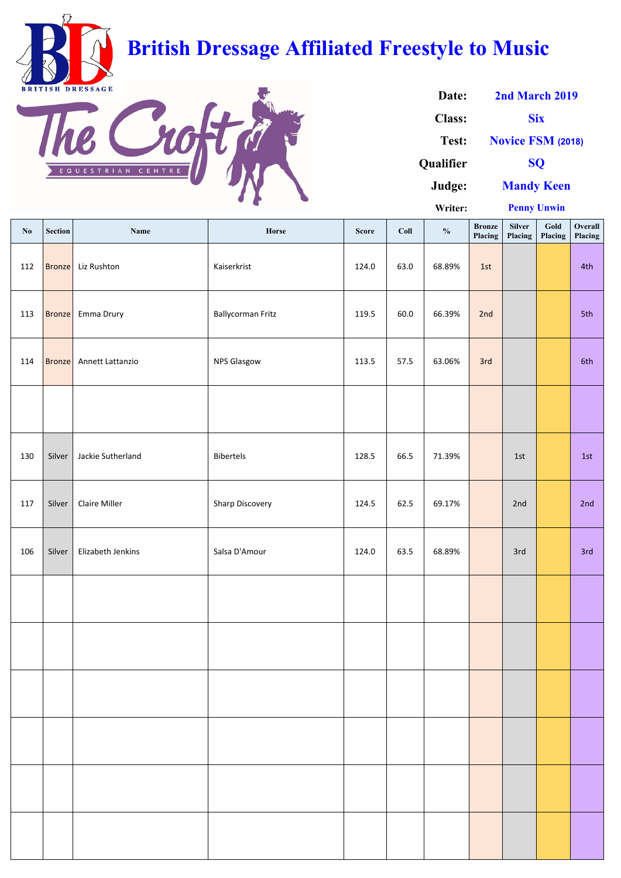| $\mathbf{N}\mathbf{0}$ | <b>Section</b> | Name                 | Horse                    | <b>Score</b> | Coll | $\frac{0}{0}$ | <b>Bronze</b><br>Placing | <b>Silver</b><br>Placing | Gold<br>Placing | Overall<br>Placing |
|------------------------|----------------|----------------------|--------------------------|--------------|------|---------------|--------------------------|--------------------------|-----------------|--------------------|
| 112                    | <b>Bronze</b>  | Liz Rushton          | Kaiserkrist              | 124.0        | 63.0 | 68.89%        | 1st                      |                          |                 | 4th                |
| 113                    | Bronze         | Emma Drury           | <b>Ballycorman Fritz</b> | 119.5        | 60.0 | 66.39%        | 2nd                      |                          |                 | 5th                |
| 114                    | Bronze         | Annett Lattanzio     | <b>NPS Glasgow</b>       | 113.5        | 57.5 | 63.06%        | 3rd                      |                          |                 | 6th                |
|                        |                |                      |                          |              |      |               |                          |                          |                 |                    |
| 130                    | Silver         | Jackie Sutherland    | <b>Bibertels</b>         | 128.5        | 66.5 | 71.39%        |                          | 1st                      |                 | 1st                |
| 117                    | Silver         | <b>Claire Miller</b> | Sharp Discovery          | 124.5        | 62.5 | 69.17%        |                          | 2nd                      |                 | 2nd                |
| 106                    | Silver         | Elizabeth Jenkins    | Salsa D'Amour            | 124.0        | 63.5 | 68.89%        |                          | 3rd                      |                 | 3rd                |
|                        |                |                      |                          |              |      |               |                          |                          |                 |                    |
|                        |                |                      |                          |              |      |               |                          |                          |                 |                    |
|                        |                |                      |                          |              |      |               |                          |                          |                 |                    |
|                        |                |                      |                          |              |      |               |                          |                          |                 |                    |
|                        |                |                      |                          |              |      |               |                          |                          |                 |                    |
|                        |                |                      |                          |              |      |               |                          |                          |                 |                    |

| Date:            | 2nd March 2019           |  |  |  |  |  |
|------------------|--------------------------|--|--|--|--|--|
| <b>Class:</b>    | <b>Six</b>               |  |  |  |  |  |
| Test:            | <b>Novice FSM (2018)</b> |  |  |  |  |  |
| <b>Oualifier</b> | <b>SO</b>                |  |  |  |  |  |
| Judge:           | <b>Mandy Keen</b>        |  |  |  |  |  |
| Writer:          | <b>Penny Unwin</b>       |  |  |  |  |  |



# **British Dressage Affiliated Freestyle to Music**